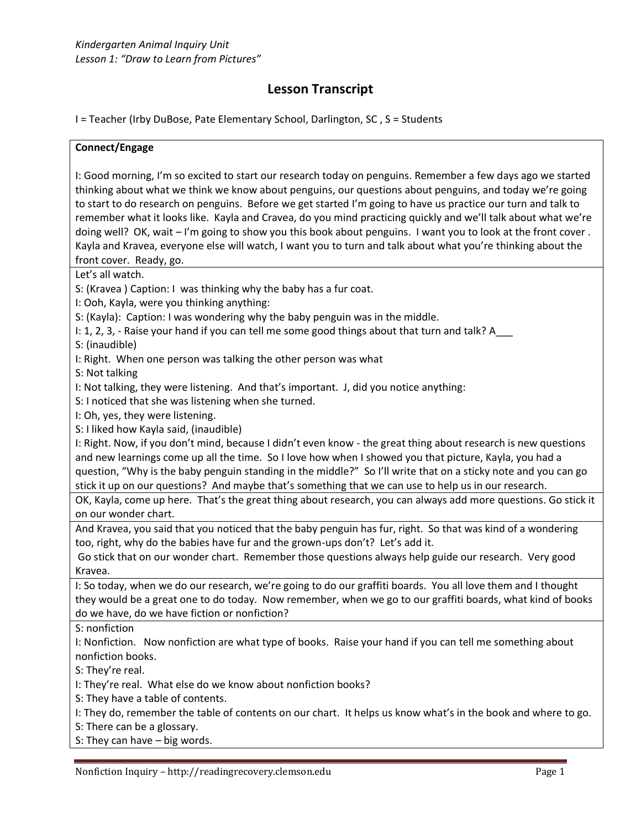# **Lesson Transcript**

I = Teacher (Irby DuBose, Pate Elementary School, Darlington, SC , S = Students

#### **Connect/Engage**

I: Good morning, I'm so excited to start our research today on penguins. Remember a few days ago we started thinking about what we think we know about penguins, our questions about penguins, and today we're going to start to do research on penguins. Before we get started I'm going to have us practice our turn and talk to remember what it looks like. Kayla and Cravea, do you mind practicing quickly and we'll talk about what we're doing well? OK, wait – I'm going to show you this book about penguins. I want you to look at the front cover. Kayla and Kravea, everyone else will watch, I want you to turn and talk about what you're thinking about the front cover. Ready, go.

Let's all watch.

S: (Kravea ) Caption: I was thinking why the baby has a fur coat.

I: Ooh, Kayla, were you thinking anything:

S: (Kayla): Caption: I was wondering why the baby penguin was in the middle.

I: 1, 2, 3, - Raise your hand if you can tell me some good things about that turn and talk? A

S: (inaudible)

I: Right. When one person was talking the other person was what

S: Not talking

I: Not talking, they were listening. And that's important. J, did you notice anything:

S: I noticed that she was listening when she turned.

I: Oh, yes, they were listening.

S: I liked how Kayla said, (inaudible)

I: Right. Now, if you don't mind, because I didn't even know - the great thing about research is new questions and new learnings come up all the time. So I love how when I showed you that picture, Kayla, you had a question, "Why is the baby penguin standing in the middle?" So I'll write that on a sticky note and you can go stick it up on our questions? And maybe that's something that we can use to help us in our research.

OK, Kayla, come up here. That's the great thing about research, you can always add more questions. Go stick it on our wonder chart.

And Kravea, you said that you noticed that the baby penguin has fur, right. So that was kind of a wondering too, right, why do the babies have fur and the grown-ups don't? Let's add it.

Go stick that on our wonder chart. Remember those questions always help guide our research. Very good Kravea.

I: So today, when we do our research, we're going to do our graffiti boards. You all love them and I thought they would be a great one to do today. Now remember, when we go to our graffiti boards, what kind of books do we have, do we have fiction or nonfiction?

S: nonfiction

I: Nonfiction. Now nonfiction are what type of books. Raise your hand if you can tell me something about nonfiction books.

S: They're real.

I: They're real. What else do we know about nonfiction books?

S: They have a table of contents.

I: They do, remember the table of contents on our chart. It helps us know what's in the book and where to go.

S: There can be a glossary.

S: They can have – big words.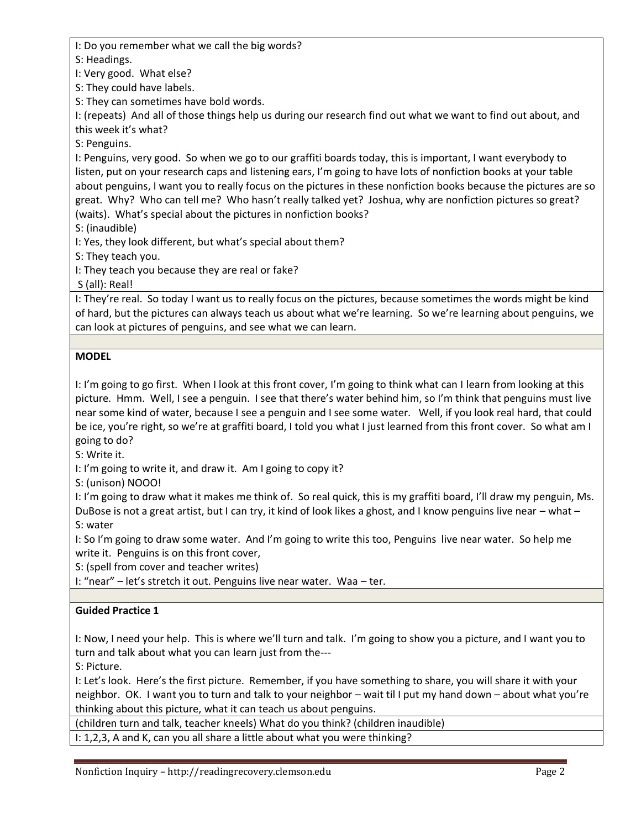I: Do you remember what we call the big words?

S: Headings.

I: Very good. What else?

S: They could have labels.

S: They can sometimes have bold words.

I: (repeats) And all of those things help us during our research find out what we want to find out about, and this week it's what?

S: Penguins.

I: Penguins, very good. So when we go to our graffiti boards today, this is important, I want everybody to listen, put on your research caps and listening ears, I'm going to have lots of nonfiction books at your table about penguins, I want you to really focus on the pictures in these nonfiction books because the pictures are so great. Why? Who can tell me? Who hasn't really talked yet? Joshua, why are nonfiction pictures so great? (waits). What's special about the pictures in nonfiction books?

S: (inaudible)

I: Yes, they look different, but what's special about them?

S: They teach you.

I: They teach you because they are real or fake?

S (all): Real!

I: They're real. So today I want us to really focus on the pictures, because sometimes the words might be kind of hard, but the pictures can always teach us about what we're learning. So we're learning about penguins, we can look at pictures of penguins, and see what we can learn.

## **MODEL**

I: I'm going to go first. When I look at this front cover, I'm going to think what can I learn from looking at this picture. Hmm. Well, I see a penguin. I see that there's water behind him, so I'm think that penguins must live near some kind of water, because I see a penguin and I see some water. Well, if you look real hard, that could be ice, you're right, so we're at graffiti board, I told you what I just learned from this front cover. So what am I going to do?

S: Write it.

I: I'm going to write it, and draw it. Am I going to copy it?

S: (unison) NOOO!

I: I'm going to draw what it makes me think of. So real quick, this is my graffiti board, I'll draw my penguin, Ms. DuBose is not a great artist, but I can try, it kind of look likes a ghost, and I know penguins live near – what – S: water

I: So I'm going to draw some water. And I'm going to write this too, Penguins live near water. So help me write it. Penguins is on this front cover,

S: (spell from cover and teacher writes)

I: "near" – let's stretch it out. Penguins live near water. Waa – ter.

## **Guided Practice 1**

I: Now, I need your help. This is where we'll turn and talk. I'm going to show you a picture, and I want you to turn and talk about what you can learn just from the---

S: Picture.

I: Let's look. Here's the first picture. Remember, if you have something to share, you will share it with your neighbor. OK. I want you to turn and talk to your neighbor – wait til I put my hand down – about what you're thinking about this picture, what it can teach us about penguins.

(children turn and talk, teacher kneels) What do you think? (children inaudible)

I: 1,2,3, A and K, can you all share a little about what you were thinking?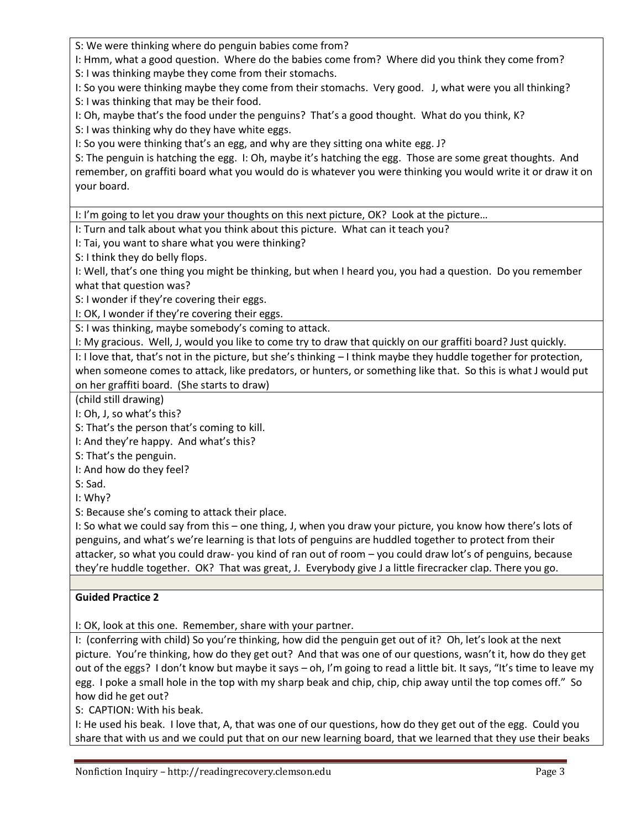S: We were thinking where do penguin babies come from?

I: Hmm, what a good question. Where do the babies come from? Where did you think they come from? S: I was thinking maybe they come from their stomachs.

I: So you were thinking maybe they come from their stomachs. Very good. J, what were you all thinking? S: I was thinking that may be their food.

I: Oh, maybe that's the food under the penguins? That's a good thought. What do you think, K?

S: I was thinking why do they have white eggs.

I: So you were thinking that's an egg, and why are they sitting ona white egg. J?

S: The penguin is hatching the egg. I: Oh, maybe it's hatching the egg. Those are some great thoughts. And remember, on graffiti board what you would do is whatever you were thinking you would write it or draw it on your board.

I: I'm going to let you draw your thoughts on this next picture, OK? Look at the picture…

I: Turn and talk about what you think about this picture. What can it teach you?

I: Tai, you want to share what you were thinking?

S: I think they do belly flops.

I: Well, that's one thing you might be thinking, but when I heard you, you had a question. Do you remember what that question was?

S: I wonder if they're covering their eggs.

I: OK, I wonder if they're covering their eggs.

S: I was thinking, maybe somebody's coming to attack.

I: My gracious. Well, J, would you like to come try to draw that quickly on our graffiti board? Just quickly.

I: I love that, that's not in the picture, but she's thinking – I think maybe they huddle together for protection, when someone comes to attack, like predators, or hunters, or something like that. So this is what J would put on her graffiti board. (She starts to draw)

(child still drawing)

I: Oh, J, so what's this?

S: That's the person that's coming to kill.

I: And they're happy. And what's this?

S: That's the penguin.

I: And how do they feel?

S: Sad.

I: Why?

S: Because she's coming to attack their place.

I: So what we could say from this – one thing, J, when you draw your picture, you know how there's lots of penguins, and what's we're learning is that lots of penguins are huddled together to protect from their attacker, so what you could draw- you kind of ran out of room – you could draw lot's of penguins, because they're huddle together. OK? That was great, J. Everybody give J a little firecracker clap. There you go.

## **Guided Practice 2**

I: OK, look at this one. Remember, share with your partner.

I: (conferring with child) So you're thinking, how did the penguin get out of it? Oh, let's look at the next picture. You're thinking, how do they get out? And that was one of our questions, wasn't it, how do they get out of the eggs? I don't know but maybe it says – oh, I'm going to read a little bit. It says, "It's time to leave my egg. I poke a small hole in the top with my sharp beak and chip, chip, chip away until the top comes off." So how did he get out?

S: CAPTION: With his beak.

I: He used his beak. I love that, A, that was one of our questions, how do they get out of the egg. Could you share that with us and we could put that on our new learning board, that we learned that they use their beaks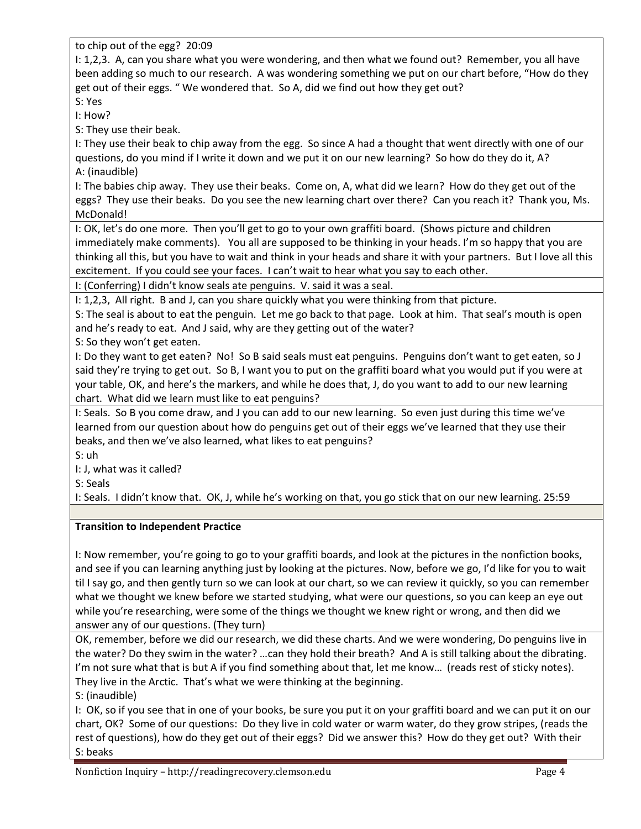to chip out of the egg? 20:09

I: 1,2,3. A, can you share what you were wondering, and then what we found out? Remember, you all have been adding so much to our research. A was wondering something we put on our chart before, "How do they get out of their eggs. " We wondered that. So A, did we find out how they get out?

S: Yes I: How?

S: They use their beak.

I: They use their beak to chip away from the egg. So since A had a thought that went directly with one of our questions, do you mind if I write it down and we put it on our new learning? So how do they do it, A? A: (inaudible)

I: The babies chip away. They use their beaks. Come on, A, what did we learn? How do they get out of the eggs? They use their beaks. Do you see the new learning chart over there? Can you reach it? Thank you, Ms. McDonald!

I: OK, let's do one more. Then you'll get to go to your own graffiti board. (Shows picture and children immediately make comments). You all are supposed to be thinking in your heads. I'm so happy that you are thinking all this, but you have to wait and think in your heads and share it with your partners. But I love all this excitement. If you could see your faces. I can't wait to hear what you say to each other.

I: (Conferring) I didn't know seals ate penguins. V. said it was a seal.

I: 1,2,3, All right. B and J, can you share quickly what you were thinking from that picture.

S: The seal is about to eat the penguin. Let me go back to that page. Look at him. That seal's mouth is open and he's ready to eat. And J said, why are they getting out of the water?

S: So they won't get eaten.

I: Do they want to get eaten? No! So B said seals must eat penguins. Penguins don't want to get eaten, so J said they're trying to get out. So B, I want you to put on the graffiti board what you would put if you were at your table, OK, and here's the markers, and while he does that, J, do you want to add to our new learning chart. What did we learn must like to eat penguins?

I: Seals. So B you come draw, and J you can add to our new learning. So even just during this time we've learned from our question about how do penguins get out of their eggs we've learned that they use their beaks, and then we've also learned, what likes to eat penguins?

S: uh

I: J, what was it called?

S: Seals

I: Seals. I didn't know that. OK, J, while he's working on that, you go stick that on our new learning. 25:59

## **Transition to Independent Practice**

I: Now remember, you're going to go to your graffiti boards, and look at the pictures in the nonfiction books, and see if you can learning anything just by looking at the pictures. Now, before we go, I'd like for you to wait til I say go, and then gently turn so we can look at our chart, so we can review it quickly, so you can remember what we thought we knew before we started studying, what were our questions, so you can keep an eye out while you're researching, were some of the things we thought we knew right or wrong, and then did we answer any of our questions. (They turn)

OK, remember, before we did our research, we did these charts. And we were wondering, Do penguins live in the water? Do they swim in the water? …can they hold their breath? And A is still talking about the dibrating. I'm not sure what that is but A if you find something about that, let me know... (reads rest of sticky notes). They live in the Arctic. That's what we were thinking at the beginning.

S: (inaudible)

I: OK, so if you see that in one of your books, be sure you put it on your graffiti board and we can put it on our chart, OK? Some of our questions: Do they live in cold water or warm water, do they grow stripes, (reads the rest of questions), how do they get out of their eggs? Did we answer this? How do they get out? With their S: beaks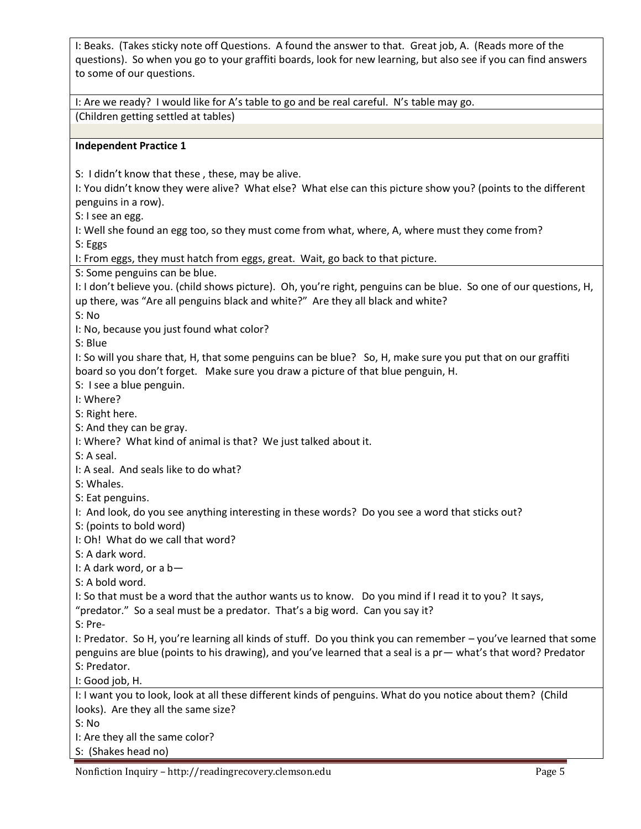I: Beaks. (Takes sticky note off Questions. A found the answer to that. Great job, A. (Reads more of the questions). So when you go to your graffiti boards, look for new learning, but also see if you can find answers to some of our questions.

I: Are we ready? I would like for A's table to go and be real careful. N's table may go. (Children getting settled at tables)

#### **Independent Practice 1**

S: I didn't know that these , these, may be alive.

I: You didn't know they were alive? What else? What else can this picture show you? (points to the different penguins in a row).

S: I see an egg.

I: Well she found an egg too, so they must come from what, where, A, where must they come from? S: Eggs

I: From eggs, they must hatch from eggs, great. Wait, go back to that picture.

S: Some penguins can be blue.

I: I don't believe you. (child shows picture). Oh, you're right, penguins can be blue. So one of our questions, H, up there, was "Are all penguins black and white?" Are they all black and white?

S: No

I: No, because you just found what color?

S: Blue

I: So will you share that, H, that some penguins can be blue? So, H, make sure you put that on our graffiti board so you don't forget. Make sure you draw a picture of that blue penguin, H.

S: I see a blue penguin.

I: Where?

S: Right here.

S: And they can be gray.

I: Where? What kind of animal is that? We just talked about it.

S: A seal.

I: A seal. And seals like to do what?

S: Whales.

S: Eat penguins.

I: And look, do you see anything interesting in these words? Do you see a word that sticks out?

S: (points to bold word)

I: Oh! What do we call that word?

S: A dark word.

I: A dark word, or a b—

S: A bold word.

I: So that must be a word that the author wants us to know. Do you mind if I read it to you? It says,

"predator." So a seal must be a predator. That's a big word. Can you say it?

S: Pre-

I: Predator. So H, you're learning all kinds of stuff. Do you think you can remember – you've learned that some penguins are blue (points to his drawing), and you've learned that a seal is a pr— what's that word? Predator S: Predator.

I: Good job, H.

I: I want you to look, look at all these different kinds of penguins. What do you notice about them? (Child looks). Are they all the same size?

S: No

I: Are they all the same color?

S: (Shakes head no)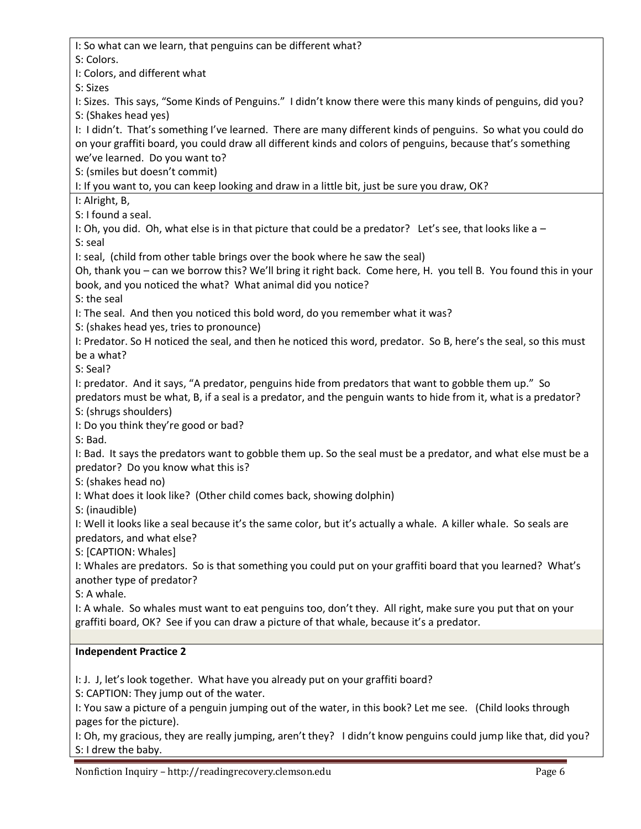I: So what can we learn, that penguins can be different what? S: Colors. I: Colors, and different what S: Sizes I: Sizes. This says, "Some Kinds of Penguins." I didn't know there were this many kinds of penguins, did you? S: (Shakes head yes) I: I didn't. That's something I've learned. There are many different kinds of penguins. So what you could do on your graffiti board, you could draw all different kinds and colors of penguins, because that's something we've learned. Do you want to? S: (smiles but doesn't commit) I: If you want to, you can keep looking and draw in a little bit, just be sure you draw, OK? I: Alright, B, S: I found a seal. I: Oh, you did. Oh, what else is in that picture that could be a predator? Let's see, that looks like a – S: seal I: seal, (child from other table brings over the book where he saw the seal) Oh, thank you – can we borrow this? We'll bring it right back. Come here, H. you tell B. You found this in your book, and you noticed the what? What animal did you notice? S: the seal I: The seal. And then you noticed this bold word, do you remember what it was? S: (shakes head yes, tries to pronounce) I: Predator. So H noticed the seal, and then he noticed this word, predator. So B, here's the seal, so this must be a what? S: Seal? I: predator. And it says, "A predator, penguins hide from predators that want to gobble them up." So predators must be what, B, if a seal is a predator, and the penguin wants to hide from it, what is a predator? S: (shrugs shoulders) I: Do you think they're good or bad? S: Bad. I: Bad. It says the predators want to gobble them up. So the seal must be a predator, and what else must be a predator? Do you know what this is? S: (shakes head no) I: What does it look like? (Other child comes back, showing dolphin) S: (inaudible) I: Well it looks like a seal because it's the same color, but it's actually a whale. A killer whale. So seals are predators, and what else? S: [CAPTION: Whales] I: Whales are predators. So is that something you could put on your graffiti board that you learned? What's another type of predator? S: A whale. I: A whale. So whales must want to eat penguins too, don't they. All right, make sure you put that on your graffiti board, OK? See if you can draw a picture of that whale, because it's a predator. **Independent Practice 2** I: J. J, let's look together. What have you already put on your graffiti board? S: CAPTION: They jump out of the water. I: You saw a picture of a penguin jumping out of the water, in this book? Let me see. (Child looks through pages for the picture). I: Oh, my gracious, they are really jumping, aren't they? I didn't know penguins could jump like that, did you? S: I drew the baby.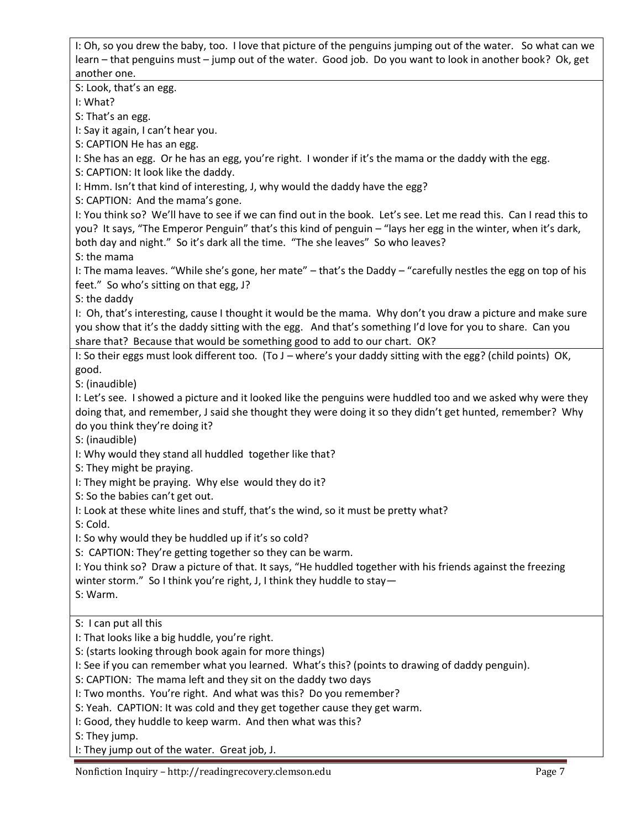I: Oh, so you drew the baby, too. I love that picture of the penguins jumping out of the water. So what can we learn – that penguins must – jump out of the water. Good job. Do you want to look in another book? Ok, get another one.

S: Look, that's an egg.

I: What?

S: That's an egg.

I: Say it again, I can't hear you.

S: CAPTION He has an egg.

I: She has an egg. Or he has an egg, you're right. I wonder if it's the mama or the daddy with the egg.

S: CAPTION: It look like the daddy.

I: Hmm. Isn't that kind of interesting, J, why would the daddy have the egg?

S: CAPTION: And the mama's gone.

I: You think so? We'll have to see if we can find out in the book. Let's see. Let me read this. Can I read this to you? It says, "The Emperor Penguin" that's this kind of penguin – "lays her egg in the winter, when it's dark, both day and night." So it's dark all the time. "The she leaves" So who leaves? S: the mama

I: The mama leaves. "While she's gone, her mate" – that's the Daddy – "carefully nestles the egg on top of his feet." So who's sitting on that egg, J?

S: the daddy

I: Oh, that's interesting, cause I thought it would be the mama. Why don't you draw a picture and make sure you show that it's the daddy sitting with the egg. And that's something I'd love for you to share. Can you share that? Because that would be something good to add to our chart. OK?

I: So their eggs must look different too. (To J – where's your daddy sitting with the egg? (child points) OK, good.

S: (inaudible)

I: Let's see. I showed a picture and it looked like the penguins were huddled too and we asked why were they doing that, and remember, J said she thought they were doing it so they didn't get hunted, remember? Why do you think they're doing it?

S: (inaudible)

I: Why would they stand all huddled together like that?

S: They might be praying.

I: They might be praying. Why else would they do it?

S: So the babies can't get out.

I: Look at these white lines and stuff, that's the wind, so it must be pretty what?

S: Cold.

I: So why would they be huddled up if it's so cold?

S: CAPTION: They're getting together so they can be warm.

I: You think so? Draw a picture of that. It says, "He huddled together with his friends against the freezing winter storm." So I think you're right, J, I think they huddle to stay-

S: Warm.

S: I can put all this

I: That looks like a big huddle, you're right.

S: (starts looking through book again for more things)

I: See if you can remember what you learned. What's this? (points to drawing of daddy penguin).

S: CAPTION: The mama left and they sit on the daddy two days

I: Two months. You're right. And what was this? Do you remember?

S: Yeah. CAPTION: It was cold and they get together cause they get warm.

I: Good, they huddle to keep warm. And then what was this?

S: They jump.

I: They jump out of the water. Great job, J.

Nonfiction Inquiry – http://readingrecovery.clemson.edu Page 7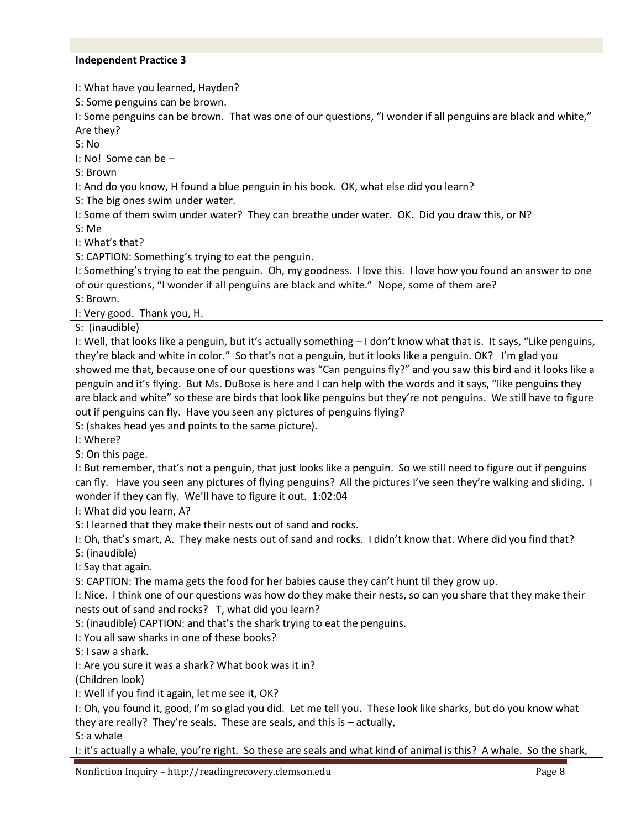#### **Independent Practice 3**

I: What have you learned, Hayden?

S: Some penguins can be brown.

I: Some penguins can be brown. That was one of our questions, "I wonder if all penguins are black and white," Are they?

S: No

I: No! Some can be –

S: Brown

I: And do you know, H found a blue penguin in his book. OK, what else did you learn?

S: The big ones swim under water.

I: Some of them swim under water? They can breathe under water. OK. Did you draw this, or N?

S: Me

I: What's that?

S: CAPTION: Something's trying to eat the penguin.

I: Something's trying to eat the penguin. Oh, my goodness. I love this. I love how you found an answer to one of our questions, "I wonder if all penguins are black and white." Nope, some of them are? S: Brown.

I: Very good. Thank you, H.

S: (inaudible)

I: Well, that looks like a penguin, but it's actually something – I don't know what that is. It says, "Like penguins, they're black and white in color." So that's not a penguin, but it looks like a penguin. OK? I'm glad you showed me that, because one of our questions was "Can penguins fly?" and you saw this bird and it looks like a penguin and it's flying. But Ms. DuBose is here and I can help with the words and it says, "like penguins they are black and white" so these are birds that look like penguins but they're not penguins. We still have to figure out if penguins can fly. Have you seen any pictures of penguins flying?

S: (shakes head yes and points to the same picture).

I: Where?

S: On this page.

I: But remember, that's not a penguin, that just looks like a penguin. So we still need to figure out if penguins can fly. Have you seen any pictures of flying penguins? All the pictures I've seen they're walking and sliding. I wonder if they can fly. We'll have to figure it out. 1:02:04

I: What did you learn, A?

S: I learned that they make their nests out of sand and rocks.

I: Oh, that's smart, A. They make nests out of sand and rocks. I didn't know that. Where did you find that? S: (inaudible)

I: Say that again.

S: CAPTION: The mama gets the food for her babies cause they can't hunt til they grow up.

I: Nice. I think one of our questions was how do they make their nests, so can you share that they make their nests out of sand and rocks? T, what did you learn?

S: (inaudible) CAPTION: and that's the shark trying to eat the penguins.

I: You all saw sharks in one of these books?

S: I saw a shark.

I: Are you sure it was a shark? What book was it in?

(Children look)

I: Well if you find it again, let me see it, OK?

I: Oh, you found it, good, I'm so glad you did. Let me tell you. These look like sharks, but do you know what they are really? They're seals. These are seals, and this is – actually,

S: a whale

I: it's actually a whale, you're right. So these are seals and what kind of animal is this? A whale. So the shark,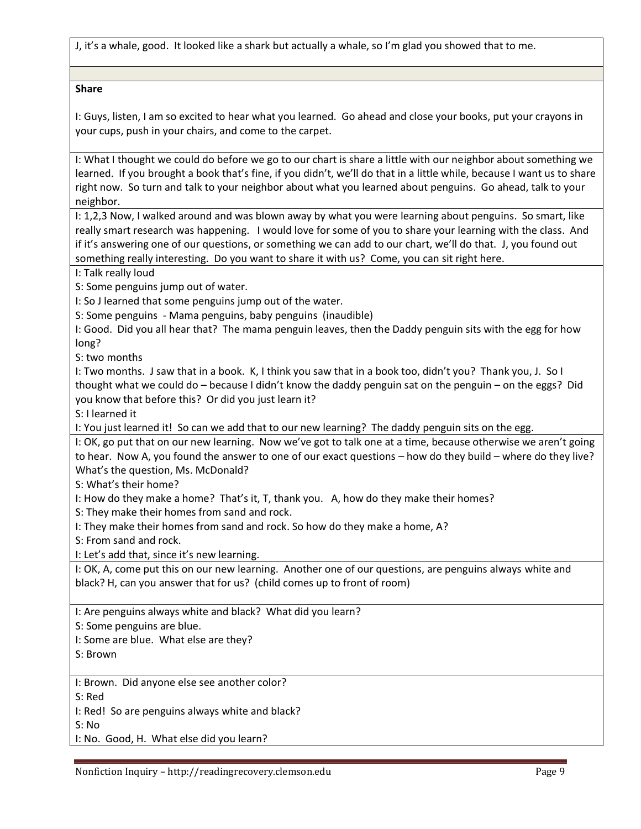J, it's a whale, good. It looked like a shark but actually a whale, so I'm glad you showed that to me.

#### **Share**

I: Guys, listen, I am so excited to hear what you learned. Go ahead and close your books, put your crayons in your cups, push in your chairs, and come to the carpet.

I: What I thought we could do before we go to our chart is share a little with our neighbor about something we learned. If you brought a book that's fine, if you didn't, we'll do that in a little while, because I want us to share right now. So turn and talk to your neighbor about what you learned about penguins. Go ahead, talk to your neighbor.

I: 1,2,3 Now, I walked around and was blown away by what you were learning about penguins. So smart, like really smart research was happening. I would love for some of you to share your learning with the class. And if it's answering one of our questions, or something we can add to our chart, we'll do that. J, you found out something really interesting. Do you want to share it with us? Come, you can sit right here.

I: Talk really loud

S: Some penguins jump out of water.

I: So J learned that some penguins jump out of the water.

S: Some penguins - Mama penguins, baby penguins (inaudible)

I: Good. Did you all hear that? The mama penguin leaves, then the Daddy penguin sits with the egg for how long?

S: two months

I: Two months. J saw that in a book. K, I think you saw that in a book too, didn't you? Thank you, J. So I thought what we could do – because I didn't know the daddy penguin sat on the penguin – on the eggs? Did you know that before this? Or did you just learn it?

S: I learned it

I: You just learned it! So can we add that to our new learning? The daddy penguin sits on the egg.

I: OK, go put that on our new learning. Now we've got to talk one at a time, because otherwise we aren't going to hear. Now A, you found the answer to one of our exact questions – how do they build – where do they live? What's the question, Ms. McDonald?

S: What's their home?

I: How do they make a home? That's it, T, thank you. A, how do they make their homes?

S: They make their homes from sand and rock.

I: They make their homes from sand and rock. So how do they make a home, A?

S: From sand and rock.

I: Let's add that, since it's new learning.

I: OK, A, come put this on our new learning. Another one of our questions, are penguins always white and black? H, can you answer that for us? (child comes up to front of room)

I: Are penguins always white and black? What did you learn?

S: Some penguins are blue.

I: Some are blue. What else are they?

S: Brown

I: Brown. Did anyone else see another color?

S: Red

I: Red! So are penguins always white and black?

S: No

I: No. Good, H. What else did you learn?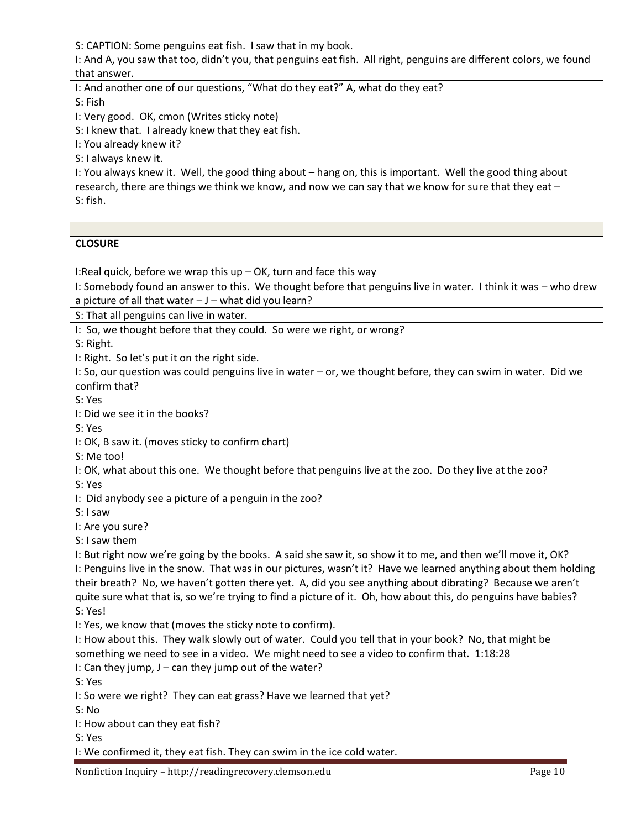S: CAPTION: Some penguins eat fish. I saw that in my book.

I: And A, you saw that too, didn't you, that penguins eat fish. All right, penguins are different colors, we found that answer.

I: And another one of our questions, "What do they eat?" A, what do they eat?

S: Fish

I: Very good. OK, cmon (Writes sticky note)

S: I knew that. I already knew that they eat fish.

I: You already knew it?

S: I always knew it.

I: You always knew it. Well, the good thing about – hang on, this is important. Well the good thing about research, there are things we think we know, and now we can say that we know for sure that they eat – S: fish.

## **CLOSURE**

I:Real quick, before we wrap this up – OK, turn and face this way

I: Somebody found an answer to this. We thought before that penguins live in water. I think it was – who drew a picture of all that water  $-J$  – what did you learn?

S: That all penguins can live in water.

I: So, we thought before that they could. So were we right, or wrong?

S: Right.

I: Right. So let's put it on the right side.

I: So, our question was could penguins live in water – or, we thought before, they can swim in water. Did we confirm that?

S: Yes

I: Did we see it in the books?

S: Yes

I: OK, B saw it. (moves sticky to confirm chart)

S: Me too!

I: OK, what about this one. We thought before that penguins live at the zoo. Do they live at the zoo?

S: Yes

I: Did anybody see a picture of a penguin in the zoo?

S: I saw

I: Are you sure?

S: I saw them

I: But right now we're going by the books. A said she saw it, so show it to me, and then we'll move it, OK? I: Penguins live in the snow. That was in our pictures, wasn't it? Have we learned anything about them holding their breath? No, we haven't gotten there yet. A, did you see anything about dibrating? Because we aren't quite sure what that is, so we're trying to find a picture of it. Oh, how about this, do penguins have babies? S: Yes!

I: Yes, we know that (moves the sticky note to confirm).

I: How about this. They walk slowly out of water. Could you tell that in your book? No, that might be something we need to see in a video. We might need to see a video to confirm that. 1:18:28 I: Can they jump, J – can they jump out of the water?

S: Yes

I: So were we right? They can eat grass? Have we learned that yet?

S: No

I: How about can they eat fish?

S: Yes

I: We confirmed it, they eat fish. They can swim in the ice cold water.

Nonfiction Inquiry – http://readingrecovery.clemson.edu Page 10